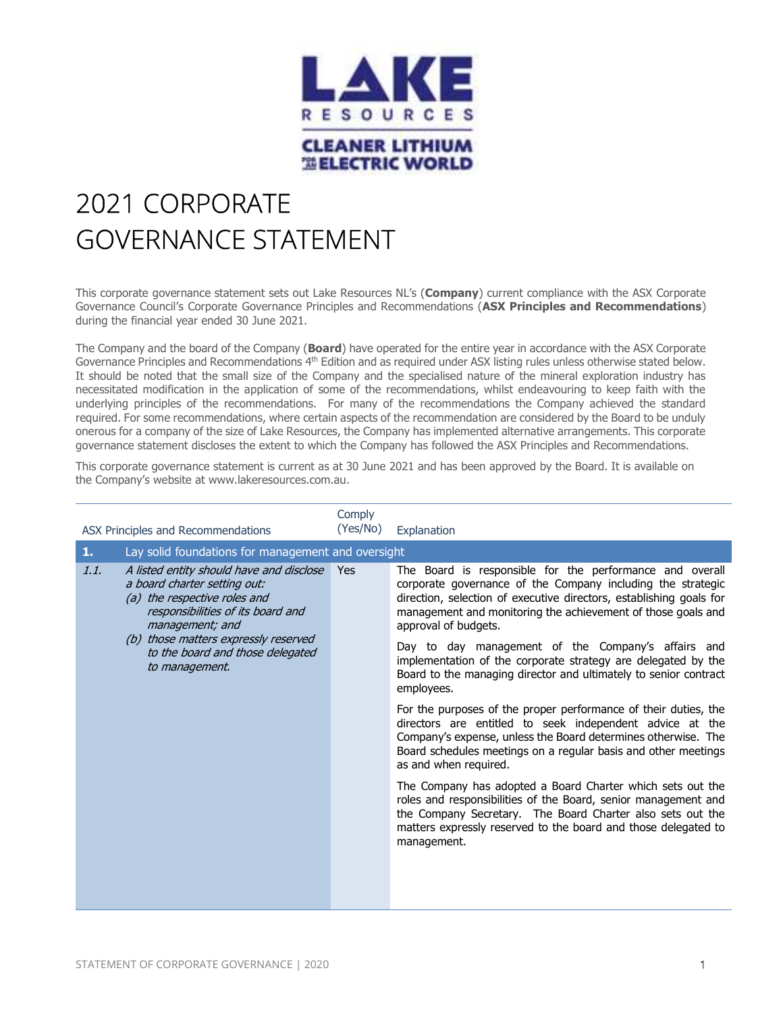

## 2021 CORPORATE GOVERNANCE STATEMENT

This corporate governance statement sets out Lake Resources NL's (Company) current compliance with the ASX Corporate Governance Council's Corporate Governance Principles and Recommendations (ASX Principles and Recommendations) during the financial year ended 30 June 2021.

The Company and the board of the Company (Board) have operated for the entire year in accordance with the ASX Corporate Governance Principles and Recommendations 4<sup>th</sup> Edition and as required under ASX listing rules unless otherwise stated below. It should be noted that the small size of the Company and the specialised nature of the mineral exploration industry has necessitated modification in the application of some of the recommendations, whilst endeavouring to keep faith with the underlying principles of the recommendations. For many of the recommendations the Company achieved the standard required. For some recommendations, where certain aspects of the recommendation are considered by the Board to be unduly onerous for a company of the size of Lake Resources, the Company has implemented alternative arrangements. This corporate governance statement discloses the extent to which the Company has followed the ASX Principles and Recommendations.

This corporate governance statement is current as at 30 June 2021 and has been approved by the Board. It is available on the Company's website at www.lakeresources.com.au.

|                                                                                                                                                   | ASX Principles and Recommendations                                            | Comply<br>(Yes/No) | Explanation                                                                                                                                                                                                                                                                             |
|---------------------------------------------------------------------------------------------------------------------------------------------------|-------------------------------------------------------------------------------|--------------------|-----------------------------------------------------------------------------------------------------------------------------------------------------------------------------------------------------------------------------------------------------------------------------------------|
| 1.                                                                                                                                                | Lay solid foundations for management and oversight                            |                    |                                                                                                                                                                                                                                                                                         |
| 1.1.<br>a board charter setting out:<br>(a) the respective roles and<br>management; and<br>(b) those matters expressly reserved<br>to management. | A listed entity should have and disclose<br>responsibilities of its board and | Yes                | The Board is responsible for the performance and overall<br>corporate governance of the Company including the strategic<br>direction, selection of executive directors, establishing goals for<br>management and monitoring the achievement of those goals and<br>approval of budgets.  |
|                                                                                                                                                   | to the board and those delegated                                              |                    | Day to day management of the Company's affairs and<br>implementation of the corporate strategy are delegated by the<br>Board to the managing director and ultimately to senior contract<br>employees.                                                                                   |
|                                                                                                                                                   |                                                                               |                    | For the purposes of the proper performance of their duties, the<br>directors are entitled to seek independent advice at the<br>Company's expense, unless the Board determines otherwise. The<br>Board schedules meetings on a regular basis and other meetings<br>as and when required. |
|                                                                                                                                                   |                                                                               |                    | The Company has adopted a Board Charter which sets out the<br>roles and responsibilities of the Board, senior management and<br>the Company Secretary. The Board Charter also sets out the<br>matters expressly reserved to the board and those delegated to<br>management.             |
|                                                                                                                                                   |                                                                               |                    |                                                                                                                                                                                                                                                                                         |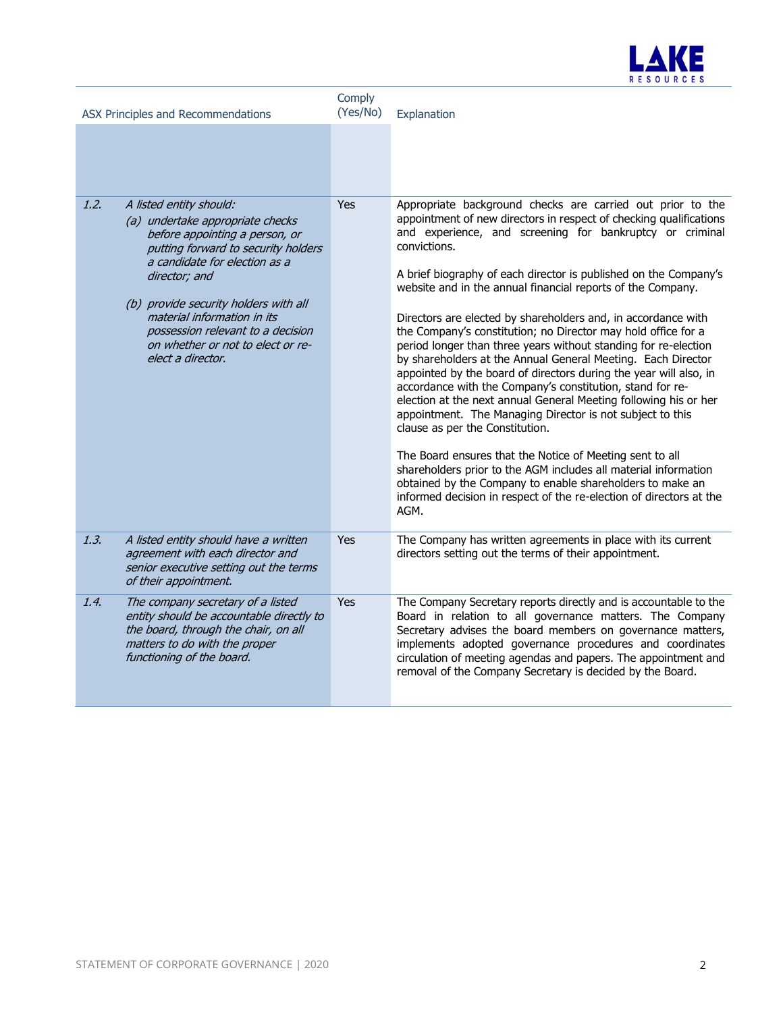

| ASX Principles and Recommendations |                                                                                                                                                                                                                                                                                                                                                               | Comply<br>(Yes/No) | Explanation                                                                                                                                                                                                                                                                                                                                                                                                                                                                                                                                                                                                                                                                                                                                                                                                                                                                                                                                                                                                                                                                                                                                                                                           |
|------------------------------------|---------------------------------------------------------------------------------------------------------------------------------------------------------------------------------------------------------------------------------------------------------------------------------------------------------------------------------------------------------------|--------------------|-------------------------------------------------------------------------------------------------------------------------------------------------------------------------------------------------------------------------------------------------------------------------------------------------------------------------------------------------------------------------------------------------------------------------------------------------------------------------------------------------------------------------------------------------------------------------------------------------------------------------------------------------------------------------------------------------------------------------------------------------------------------------------------------------------------------------------------------------------------------------------------------------------------------------------------------------------------------------------------------------------------------------------------------------------------------------------------------------------------------------------------------------------------------------------------------------------|
|                                    |                                                                                                                                                                                                                                                                                                                                                               |                    |                                                                                                                                                                                                                                                                                                                                                                                                                                                                                                                                                                                                                                                                                                                                                                                                                                                                                                                                                                                                                                                                                                                                                                                                       |
| 1.2.                               | A listed entity should:<br>(a) undertake appropriate checks<br>before appointing a person, or<br>putting forward to security holders<br>a candidate for election as a<br>director; and<br>(b) provide security holders with all<br>material information in its<br>possession relevant to a decision<br>on whether or not to elect or re-<br>elect a director. | <b>Yes</b>         | Appropriate background checks are carried out prior to the<br>appointment of new directors in respect of checking qualifications<br>and experience, and screening for bankruptcy or criminal<br>convictions.<br>A brief biography of each director is published on the Company's<br>website and in the annual financial reports of the Company.<br>Directors are elected by shareholders and, in accordance with<br>the Company's constitution; no Director may hold office for a<br>period longer than three years without standing for re-election<br>by shareholders at the Annual General Meeting. Each Director<br>appointed by the board of directors during the year will also, in<br>accordance with the Company's constitution, stand for re-<br>election at the next annual General Meeting following his or her<br>appointment. The Managing Director is not subject to this<br>clause as per the Constitution.<br>The Board ensures that the Notice of Meeting sent to all<br>shareholders prior to the AGM includes all material information<br>obtained by the Company to enable shareholders to make an<br>informed decision in respect of the re-election of directors at the<br>AGM. |
| 1.3.                               | A listed entity should have a written<br>agreement with each director and<br>senior executive setting out the terms<br>of their appointment.                                                                                                                                                                                                                  | Yes                | The Company has written agreements in place with its current<br>directors setting out the terms of their appointment.                                                                                                                                                                                                                                                                                                                                                                                                                                                                                                                                                                                                                                                                                                                                                                                                                                                                                                                                                                                                                                                                                 |
| 1.4.                               | The company secretary of a listed<br>entity should be accountable directly to<br>the board, through the chair, on all<br>matters to do with the proper<br>functioning of the board.                                                                                                                                                                           | <b>Yes</b>         | The Company Secretary reports directly and is accountable to the<br>Board in relation to all governance matters. The Company<br>Secretary advises the board members on governance matters,<br>implements adopted governance procedures and coordinates<br>circulation of meeting agendas and papers. The appointment and<br>removal of the Company Secretary is decided by the Board.                                                                                                                                                                                                                                                                                                                                                                                                                                                                                                                                                                                                                                                                                                                                                                                                                 |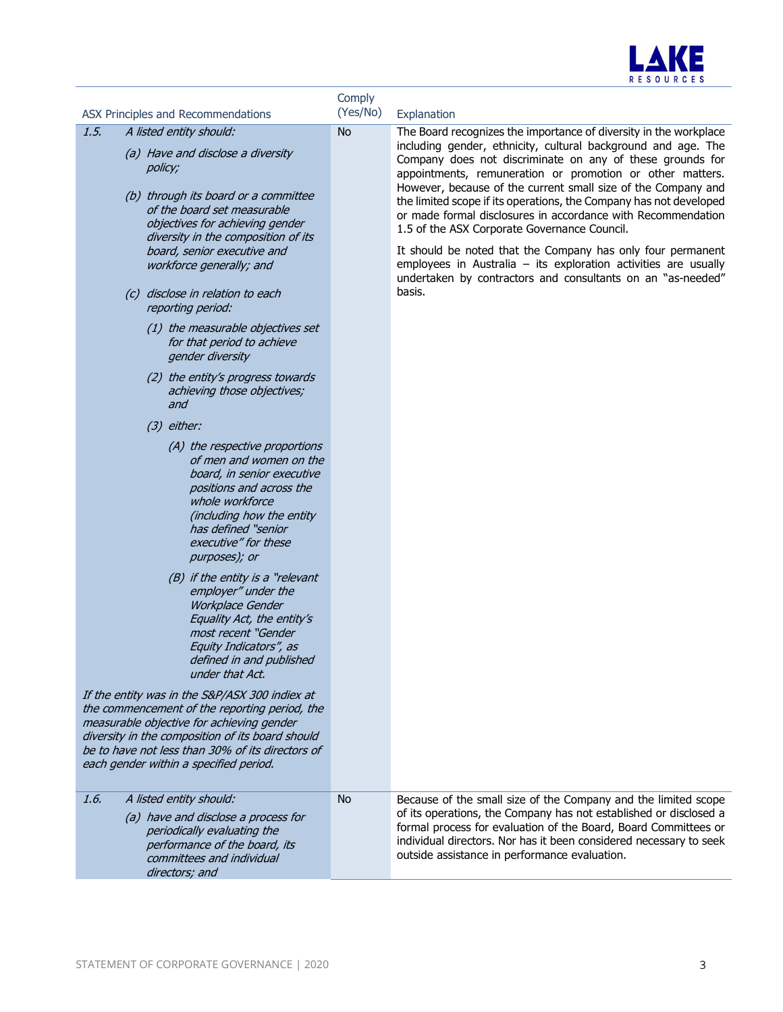

| ASX Principles and Recommendations                                                                                                                                                                                                                                                                                                                                                                                                                                                                                                                                                                                                                                                                                                                                                                                                                                                                                                                                                                                                                                                                                                                                                                                                                                                            | Comply<br>(Yes/No) | Explanation                                                                                                                                                                                                                                                                                                                                                                                                                                                                                                                                                                                                                                                                                                                      |
|-----------------------------------------------------------------------------------------------------------------------------------------------------------------------------------------------------------------------------------------------------------------------------------------------------------------------------------------------------------------------------------------------------------------------------------------------------------------------------------------------------------------------------------------------------------------------------------------------------------------------------------------------------------------------------------------------------------------------------------------------------------------------------------------------------------------------------------------------------------------------------------------------------------------------------------------------------------------------------------------------------------------------------------------------------------------------------------------------------------------------------------------------------------------------------------------------------------------------------------------------------------------------------------------------|--------------------|----------------------------------------------------------------------------------------------------------------------------------------------------------------------------------------------------------------------------------------------------------------------------------------------------------------------------------------------------------------------------------------------------------------------------------------------------------------------------------------------------------------------------------------------------------------------------------------------------------------------------------------------------------------------------------------------------------------------------------|
| 1.5.<br>A listed entity should:<br>(a) Have and disclose a diversity<br>policy;<br>(b) through its board or a committee<br>of the board set measurable<br>objectives for achieving gender<br>diversity in the composition of its<br>board, senior executive and<br>workforce generally; and<br>(c) disclose in relation to each<br>reporting period:<br>(1) the measurable objectives set<br>for that period to achieve<br>gender diversity<br>(2) the entity's progress towards<br>achieving those objectives;<br>and<br>$(3)$ either:<br>(A) the respective proportions<br>of men and women on the<br>board, in senior executive<br>positions and across the<br>whole workforce<br>(including how the entity<br>has defined "senior<br>executive" for these<br>purposes); or<br>(B) if the entity is a "relevant<br>employer" under the<br>Workplace Gender<br>Equality Act, the entity's<br>most recent "Gender<br>Equity Indicators", as<br>defined in and published<br>under that Act.<br>If the entity was in the S&P/ASX 300 indiex at<br>the commencement of the reporting period, the<br>measurable objective for achieving gender<br>diversity in the composition of its board should<br>be to have not less than 30% of its directors of<br>each gender within a specified period. | <b>No</b>          | The Board recognizes the importance of diversity in the workplace<br>including gender, ethnicity, cultural background and age. The<br>Company does not discriminate on any of these grounds for<br>appointments, remuneration or promotion or other matters.<br>However, because of the current small size of the Company and<br>the limited scope if its operations, the Company has not developed<br>or made formal disclosures in accordance with Recommendation<br>1.5 of the ASX Corporate Governance Council.<br>It should be noted that the Company has only four permanent<br>employees in Australia $-$ its exploration activities are usually<br>undertaken by contractors and consultants on an "as-needed"<br>basis. |
| A listed entity should:<br>1.6.<br>(a) have and disclose a process for<br>periodically evaluating the<br>performance of the board, its<br>committees and individual<br>directors; and                                                                                                                                                                                                                                                                                                                                                                                                                                                                                                                                                                                                                                                                                                                                                                                                                                                                                                                                                                                                                                                                                                         | <b>No</b>          | Because of the small size of the Company and the limited scope<br>of its operations, the Company has not established or disclosed a<br>formal process for evaluation of the Board, Board Committees or<br>individual directors. Nor has it been considered necessary to seek<br>outside assistance in performance evaluation.                                                                                                                                                                                                                                                                                                                                                                                                    |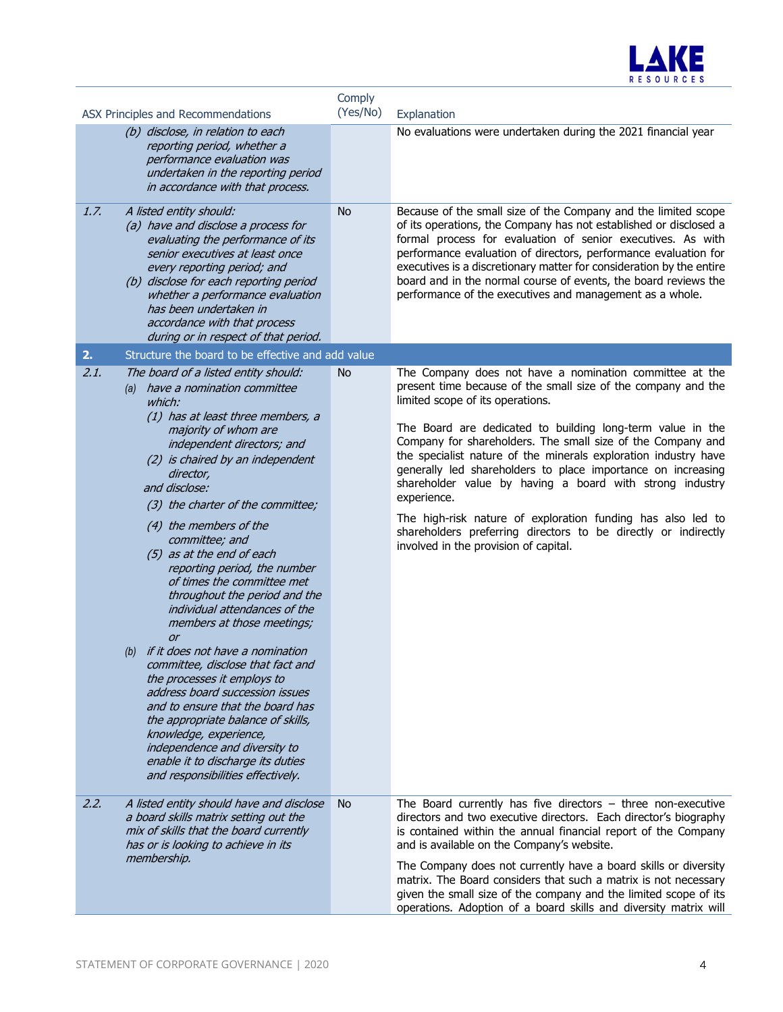

|      | ASX Principles and Recommendations                                                                                                                                                                                                                                                                                                                                                                                                                                                                                                                                                                                                                                                                                                                                                                        | Comply<br>(Yes/No) | Explanation                                                                                                                                                                                                                                                                                                                                                                                                                                                                                                                      |
|------|-----------------------------------------------------------------------------------------------------------------------------------------------------------------------------------------------------------------------------------------------------------------------------------------------------------------------------------------------------------------------------------------------------------------------------------------------------------------------------------------------------------------------------------------------------------------------------------------------------------------------------------------------------------------------------------------------------------------------------------------------------------------------------------------------------------|--------------------|----------------------------------------------------------------------------------------------------------------------------------------------------------------------------------------------------------------------------------------------------------------------------------------------------------------------------------------------------------------------------------------------------------------------------------------------------------------------------------------------------------------------------------|
|      | (b) disclose, in relation to each<br>reporting period, whether a<br>performance evaluation was<br>undertaken in the reporting period<br>in accordance with that process.                                                                                                                                                                                                                                                                                                                                                                                                                                                                                                                                                                                                                                  |                    | No evaluations were undertaken during the 2021 financial year                                                                                                                                                                                                                                                                                                                                                                                                                                                                    |
| 1.7. | A listed entity should:<br>(a) have and disclose a process for<br>evaluating the performance of its<br>senior executives at least once<br>every reporting period; and<br>(b) disclose for each reporting period<br>whether a performance evaluation<br>has been undertaken in<br>accordance with that process<br>during or in respect of that period.                                                                                                                                                                                                                                                                                                                                                                                                                                                     | <b>No</b>          | Because of the small size of the Company and the limited scope<br>of its operations, the Company has not established or disclosed a<br>formal process for evaluation of senior executives. As with<br>performance evaluation of directors, performance evaluation for<br>executives is a discretionary matter for consideration by the entire<br>board and in the normal course of events, the board reviews the<br>performance of the executives and management as a whole.                                                     |
| 2.   | Structure the board to be effective and add value                                                                                                                                                                                                                                                                                                                                                                                                                                                                                                                                                                                                                                                                                                                                                         |                    |                                                                                                                                                                                                                                                                                                                                                                                                                                                                                                                                  |
| 2.1. | The board of a listed entity should:<br>(a) have a nomination committee<br>which:                                                                                                                                                                                                                                                                                                                                                                                                                                                                                                                                                                                                                                                                                                                         | No.                | The Company does not have a nomination committee at the<br>present time because of the small size of the company and the<br>limited scope of its operations.                                                                                                                                                                                                                                                                                                                                                                     |
|      | (1) has at least three members, a<br>majority of whom are<br>independent directors; and<br>(2) is chaired by an independent<br>director,<br>and disclose:<br>(3) the charter of the committee;<br>(4) the members of the<br>committee; and<br>(5) as at the end of each<br>reporting period, the number<br>of times the committee met<br>throughout the period and the<br>individual attendances of the<br>members at those meetings;<br>or<br>(b) if it does not have a nomination<br>committee, disclose that fact and<br>the processes it employs to<br>address board succession issues<br>and to ensure that the board has<br>the appropriate balance of skills,<br>knowledge, experience,<br>independence and diversity to<br>enable it to discharge its duties<br>and responsibilities effectively. |                    | The Board are dedicated to building long-term value in the<br>Company for shareholders. The small size of the Company and<br>the specialist nature of the minerals exploration industry have<br>generally led shareholders to place importance on increasing<br>shareholder value by having a board with strong industry<br>experience.<br>The high-risk nature of exploration funding has also led to<br>shareholders preferring directors to be directly or indirectly<br>involved in the provision of capital.                |
| 2.2. | A listed entity should have and disclose<br>a board skills matrix setting out the<br>mix of skills that the board currently<br>has or is looking to achieve in its<br>membership.                                                                                                                                                                                                                                                                                                                                                                                                                                                                                                                                                                                                                         | <b>No</b>          | The Board currently has five directors $-$ three non-executive<br>directors and two executive directors. Each director's biography<br>is contained within the annual financial report of the Company<br>and is available on the Company's website.<br>The Company does not currently have a board skills or diversity<br>matrix. The Board considers that such a matrix is not necessary<br>given the small size of the company and the limited scope of its<br>operations. Adoption of a board skills and diversity matrix will |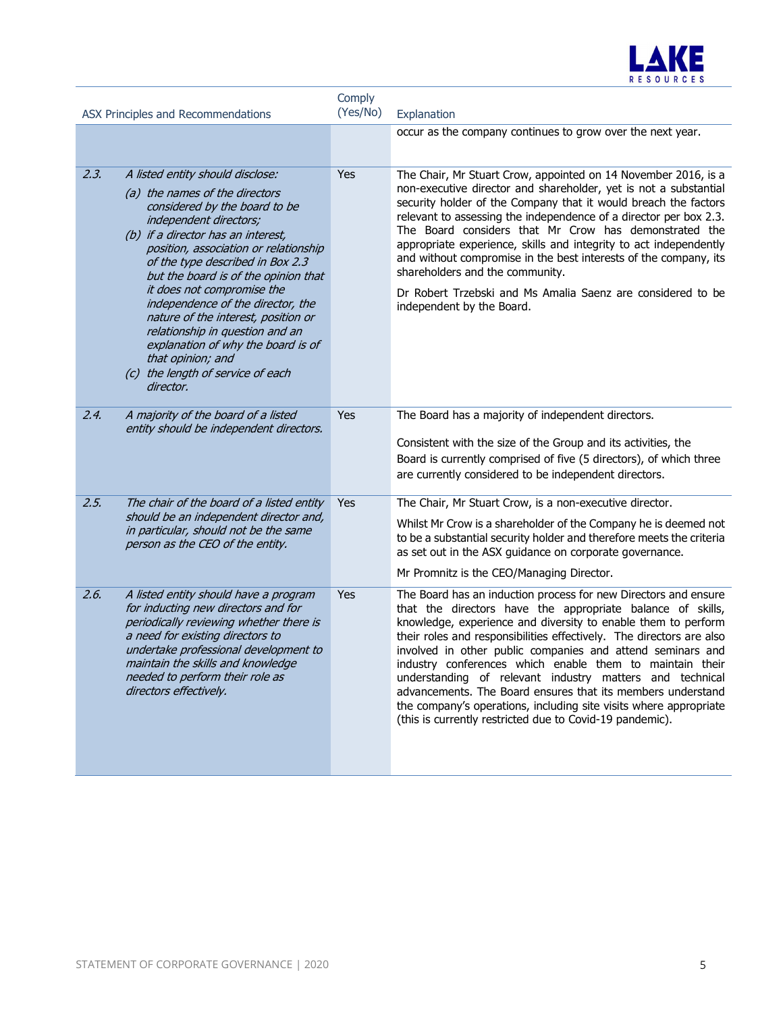

| ASX Principles and Recommendations |                                                                                                                                                                                                                                                                                                                                                                                                                                                                                                                                       | Comply<br>(Yes/No) | Explanation                                                                                                                                                                                                                                                                                                                                                                                                                                                                                                                                                                                                                                                  |
|------------------------------------|---------------------------------------------------------------------------------------------------------------------------------------------------------------------------------------------------------------------------------------------------------------------------------------------------------------------------------------------------------------------------------------------------------------------------------------------------------------------------------------------------------------------------------------|--------------------|--------------------------------------------------------------------------------------------------------------------------------------------------------------------------------------------------------------------------------------------------------------------------------------------------------------------------------------------------------------------------------------------------------------------------------------------------------------------------------------------------------------------------------------------------------------------------------------------------------------------------------------------------------------|
|                                    |                                                                                                                                                                                                                                                                                                                                                                                                                                                                                                                                       |                    | occur as the company continues to grow over the next year.                                                                                                                                                                                                                                                                                                                                                                                                                                                                                                                                                                                                   |
| 2.3.                               | A listed entity should disclose:<br>(a) the names of the directors<br>considered by the board to be<br>independent directors;<br>(b) if a director has an interest,<br>position, association or relationship<br>of the type described in Box 2.3<br>but the board is of the opinion that<br>it does not compromise the<br>independence of the director, the<br>nature of the interest, position or<br>relationship in question and an<br>explanation of why the board is of<br>that opinion; and<br>(c) the length of service of each | Yes                | The Chair, Mr Stuart Crow, appointed on 14 November 2016, is a<br>non-executive director and shareholder, yet is not a substantial<br>security holder of the Company that it would breach the factors<br>relevant to assessing the independence of a director per box 2.3.<br>The Board considers that Mr Crow has demonstrated the<br>appropriate experience, skills and integrity to act independently<br>and without compromise in the best interests of the company, its<br>shareholders and the community.<br>Dr Robert Trzebski and Ms Amalia Saenz are considered to be<br>independent by the Board.                                                  |
| 2.4.                               | director.<br>A majority of the board of a listed                                                                                                                                                                                                                                                                                                                                                                                                                                                                                      | Yes                | The Board has a majority of independent directors.                                                                                                                                                                                                                                                                                                                                                                                                                                                                                                                                                                                                           |
|                                    | entity should be independent directors.                                                                                                                                                                                                                                                                                                                                                                                                                                                                                               |                    | Consistent with the size of the Group and its activities, the<br>Board is currently comprised of five (5 directors), of which three<br>are currently considered to be independent directors.                                                                                                                                                                                                                                                                                                                                                                                                                                                                 |
| 2.5.                               | The chair of the board of a listed entity<br>should be an independent director and,<br>in particular, should not be the same<br>person as the CEO of the entity.                                                                                                                                                                                                                                                                                                                                                                      | <b>Yes</b>         | The Chair, Mr Stuart Crow, is a non-executive director.<br>Whilst Mr Crow is a shareholder of the Company he is deemed not<br>to be a substantial security holder and therefore meets the criteria<br>as set out in the ASX guidance on corporate governance.<br>Mr Promnitz is the CEO/Managing Director.                                                                                                                                                                                                                                                                                                                                                   |
| 2.6.                               | A listed entity should have a program<br>for inducting new directors and for<br>periodically reviewing whether there is<br>a need for existing directors to<br>undertake professional development to<br>maintain the skills and knowledge<br>needed to perform their role as<br>directors effectively.                                                                                                                                                                                                                                | Yes                | The Board has an induction process for new Directors and ensure<br>that the directors have the appropriate balance of skills,<br>knowledge, experience and diversity to enable them to perform<br>their roles and responsibilities effectively. The directors are also<br>involved in other public companies and attend seminars and<br>industry conferences which enable them to maintain their<br>understanding of relevant industry matters and technical<br>advancements. The Board ensures that its members understand<br>the company's operations, including site visits where appropriate<br>(this is currently restricted due to Covid-19 pandemic). |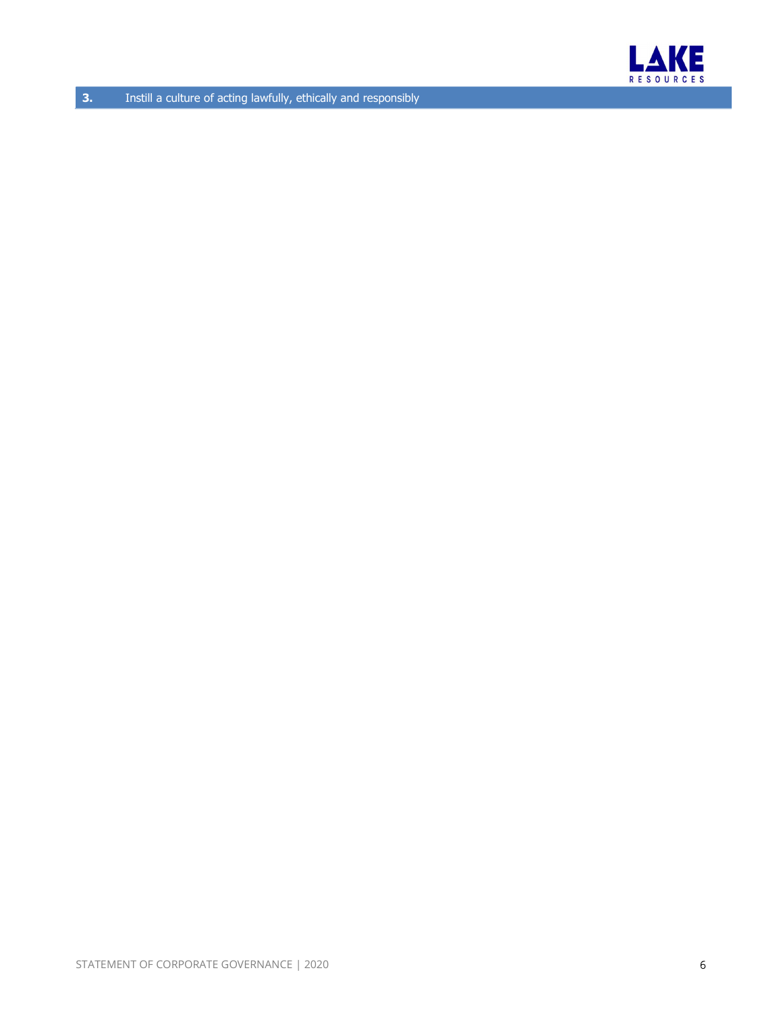

**3.** Instill a culture of acting lawfully, ethically and responsibly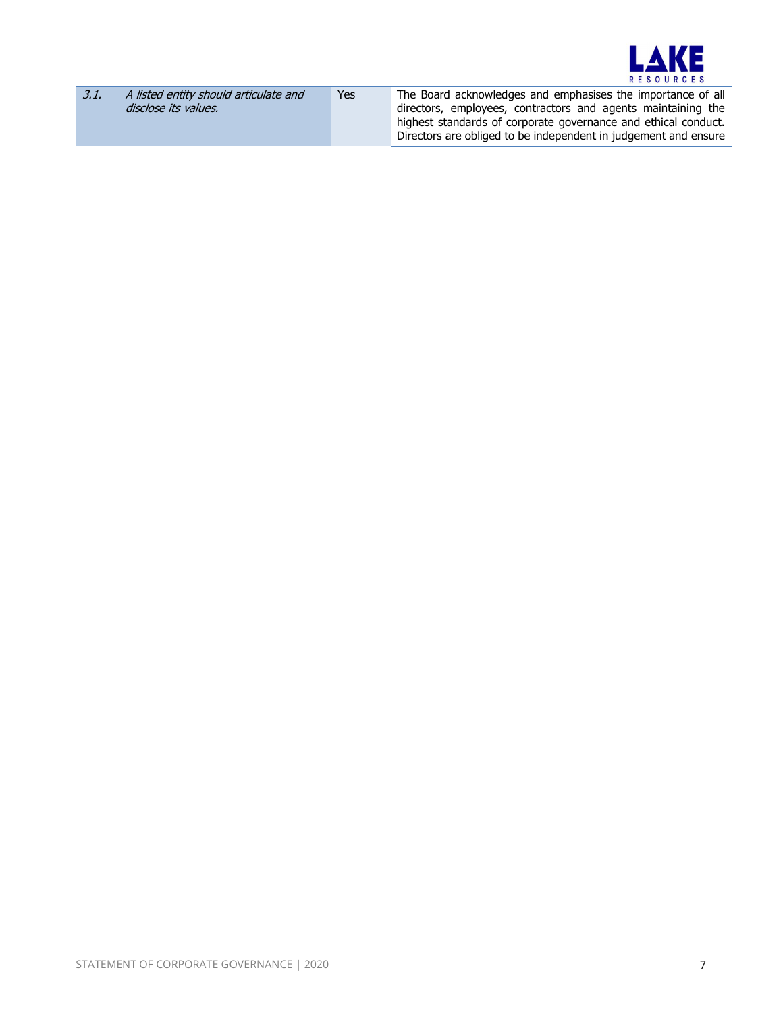

| 3.1. | A listed entity should articulate and | Yes | The Board acknowledges and emphasises the importance of all     |
|------|---------------------------------------|-----|-----------------------------------------------------------------|
|      | disclose its values.                  |     | directors, employees, contractors and agents maintaining the    |
|      |                                       |     | highest standards of corporate governance and ethical conduct.  |
|      |                                       |     | Directors are obliged to be independent in judgement and ensure |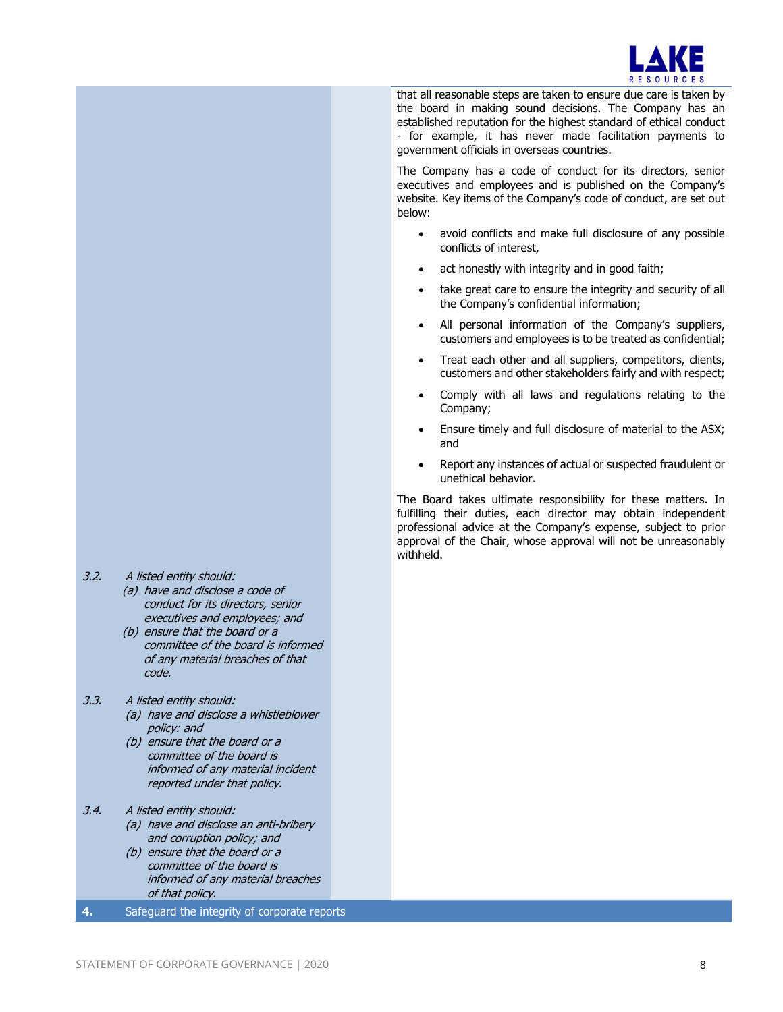

 that all reasonable steps are taken to ensure due care is taken by the board in making sound decisions. The Company has an established reputation for the highest standard of ethical conduct - for example, it has never made facilitation payments to government officials in overseas countries.

The Company has a code of conduct for its directors, senior executives and employees and is published on the Company's website. Key items of the Company's code of conduct, are set out below:

- avoid conflicts and make full disclosure of any possible conflicts of interest,
- act honestly with integrity and in good faith;
- take great care to ensure the integrity and security of all the Company's confidential information;
- All personal information of the Company's suppliers, customers and employees is to be treated as confidential;
- Treat each other and all suppliers, competitors, clients, customers and other stakeholders fairly and with respect;
- Comply with all laws and regulations relating to the Company;
- Ensure timely and full disclosure of material to the ASX; and
- Report any instances of actual or suspected fraudulent or unethical behavior.

The Board takes ultimate responsibility for these matters. In fulfilling their duties, each director may obtain independent professional advice at the Company's expense, subject to prior approval of the Chair, whose approval will not be unreasonably withheld.

- 3.2. A listed entity should:
	- (a) have and disclose a code of conduct for its directors, senior executives and employees; and
	- (b) ensure that the board or a committee of the board is informed of any material breaches of that code.
- 3.3. A listed entity should:
	- (a) have and disclose a whistleblower policy: and
	- (b) ensure that the board or a committee of the board is informed of any material incident reported under that policy.
- 3.4. A listed entity should:
	- (a) have and disclose an anti-bribery and corruption policy; and
	- (b) ensure that the board or a committee of the board is informed of any material breaches of that policy.
- 4. Safeguard the integrity of corporate reports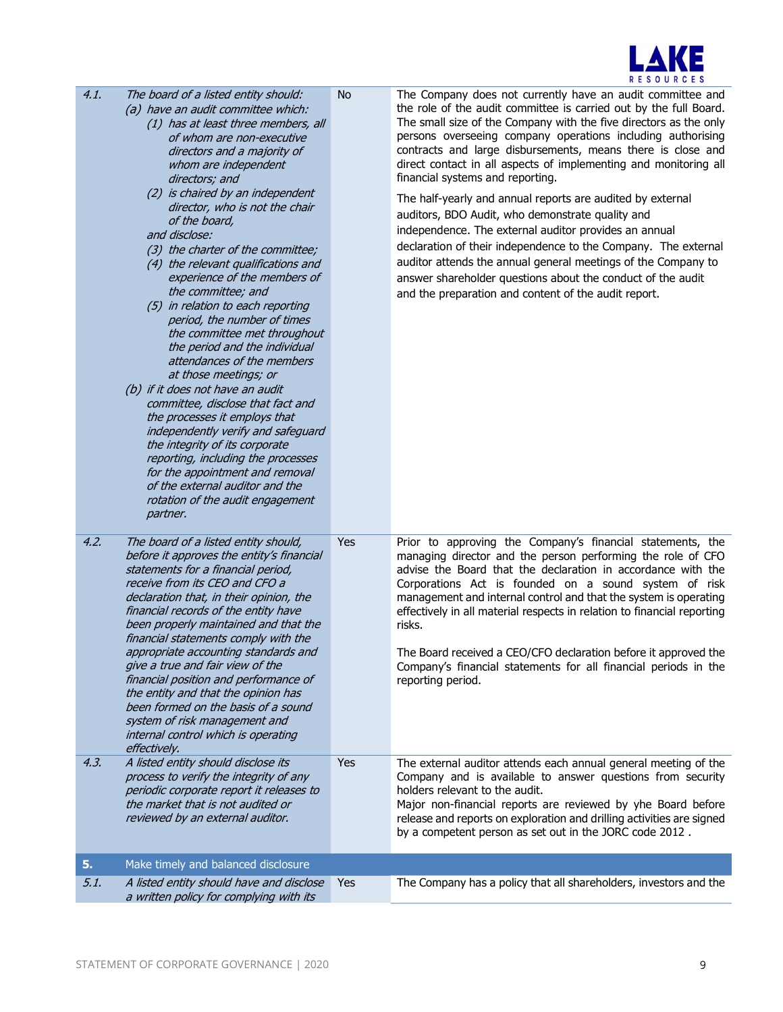

| 4.1.         | The board of a listed entity should:<br>(a) have an audit committee which:<br>(1) has at least three members, all<br>of whom are non-executive<br>directors and a majority of<br>whom are independent<br>directors; and<br>(2) is chaired by an independent<br>director, who is not the chair<br>of the board,<br>and disclose:<br>(3) the charter of the committee;<br>(4) the relevant qualifications and<br>experience of the members of<br>the committee; and<br>(5) in relation to each reporting<br>period, the number of times<br>the committee met throughout<br>the period and the individual<br>attendances of the members<br>at those meetings; or<br>(b) if it does not have an audit<br>committee, disclose that fact and<br>the processes it employs that<br>independently verify and safeguard<br>the integrity of its corporate<br>reporting, including the processes<br>for the appointment and removal<br>of the external auditor and the<br>rotation of the audit engagement<br>partner. | No         | The Company does not currently have an audit committee and<br>the role of the audit committee is carried out by the full Board.<br>The small size of the Company with the five directors as the only<br>persons overseeing company operations including authorising<br>contracts and large disbursements, means there is close and<br>direct contact in all aspects of implementing and monitoring all<br>financial systems and reporting.<br>The half-yearly and annual reports are audited by external<br>auditors, BDO Audit, who demonstrate quality and<br>independence. The external auditor provides an annual<br>declaration of their independence to the Company. The external<br>auditor attends the annual general meetings of the Company to<br>answer shareholder questions about the conduct of the audit<br>and the preparation and content of the audit report. |
|--------------|-------------------------------------------------------------------------------------------------------------------------------------------------------------------------------------------------------------------------------------------------------------------------------------------------------------------------------------------------------------------------------------------------------------------------------------------------------------------------------------------------------------------------------------------------------------------------------------------------------------------------------------------------------------------------------------------------------------------------------------------------------------------------------------------------------------------------------------------------------------------------------------------------------------------------------------------------------------------------------------------------------------|------------|---------------------------------------------------------------------------------------------------------------------------------------------------------------------------------------------------------------------------------------------------------------------------------------------------------------------------------------------------------------------------------------------------------------------------------------------------------------------------------------------------------------------------------------------------------------------------------------------------------------------------------------------------------------------------------------------------------------------------------------------------------------------------------------------------------------------------------------------------------------------------------|
| 4.2.<br>4.3. | The board of a listed entity should,<br>before it approves the entity's financial<br>statements for a financial period,<br>receive from its CEO and CFO a<br>declaration that, in their opinion, the<br>financial records of the entity have<br>been properly maintained and that the<br>financial statements comply with the<br>appropriate accounting standards and<br>give a true and fair view of the<br>financial position and performance of<br>the entity and that the opinion has<br>been formed on the basis of a sound<br>system of risk management and<br>internal control which is operating<br>effectively.<br>A listed entity should disclose its<br>process to verify the integrity of any                                                                                                                                                                                                                                                                                                   | Yes<br>Yes | Prior to approving the Company's financial statements, the<br>managing director and the person performing the role of CFO<br>advise the Board that the declaration in accordance with the<br>Corporations Act is founded on a sound system of risk<br>management and internal control and that the system is operating<br>effectively in all material respects in relation to financial reporting<br>risks.<br>The Board received a CEO/CFO declaration before it approved the<br>Company's financial statements for all financial periods in the<br>reporting period.<br>The external auditor attends each annual general meeting of the<br>Company and is available to answer questions from security                                                                                                                                                                         |
|              | periodic corporate report it releases to<br>the market that is not audited or<br>reviewed by an external auditor.                                                                                                                                                                                                                                                                                                                                                                                                                                                                                                                                                                                                                                                                                                                                                                                                                                                                                           |            | holders relevant to the audit.<br>Major non-financial reports are reviewed by yhe Board before<br>release and reports on exploration and drilling activities are signed<br>by a competent person as set out in the JORC code 2012.                                                                                                                                                                                                                                                                                                                                                                                                                                                                                                                                                                                                                                              |
| 5.           | Make timely and balanced disclosure                                                                                                                                                                                                                                                                                                                                                                                                                                                                                                                                                                                                                                                                                                                                                                                                                                                                                                                                                                         |            |                                                                                                                                                                                                                                                                                                                                                                                                                                                                                                                                                                                                                                                                                                                                                                                                                                                                                 |
| 5.1.         | A listed entity should have and disclose<br>a written policy for complying with its                                                                                                                                                                                                                                                                                                                                                                                                                                                                                                                                                                                                                                                                                                                                                                                                                                                                                                                         | Yes        | The Company has a policy that all shareholders, investors and the                                                                                                                                                                                                                                                                                                                                                                                                                                                                                                                                                                                                                                                                                                                                                                                                               |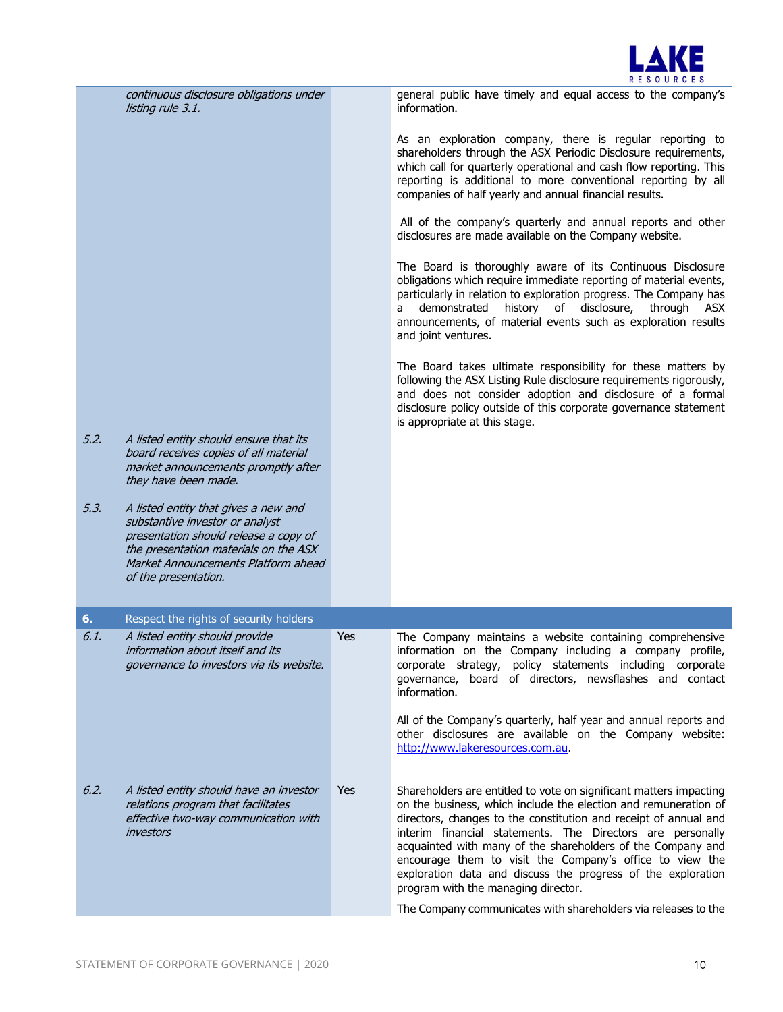

continuous disclosure obligations under listing rule 3.1.

5.2. A listed entity should ensure that its board receives copies of all material market announcements promptly after

5.3. A listed entity that gives a new and substantive investor or analyst presentation should release a copy of the presentation materials on the ASX Market Announcements Platform ahead

they have been made.

of the presentation.

general public have timely and equal access to the company's information.

As an exploration company, there is regular reporting to shareholders through the ASX Periodic Disclosure requirements, which call for quarterly operational and cash flow reporting. This reporting is additional to more conventional reporting by all companies of half yearly and annual financial results.

 All of the company's quarterly and annual reports and other disclosures are made available on the Company website.

The Board is thoroughly aware of its Continuous Disclosure obligations which require immediate reporting of material events, particularly in relation to exploration progress. The Company has a demonstrated history of disclosure, through ASX announcements, of material events such as exploration results and joint ventures.

The Board takes ultimate responsibility for these matters by following the ASX Listing Rule disclosure requirements rigorously, and does not consider adoption and disclosure of a formal disclosure policy outside of this corporate governance statement is appropriate at this stage.

| 6.   | Respect the rights of security holders                                                                                             |            |                                                                                                                                                                                                                                                                                                                                                                                                                                                                                                                                                                             |
|------|------------------------------------------------------------------------------------------------------------------------------------|------------|-----------------------------------------------------------------------------------------------------------------------------------------------------------------------------------------------------------------------------------------------------------------------------------------------------------------------------------------------------------------------------------------------------------------------------------------------------------------------------------------------------------------------------------------------------------------------------|
| 6.1. | A listed entity should provide<br>information about itself and its<br>governance to investors via its website.                     | <b>Yes</b> | The Company maintains a website containing comprehensive<br>information on the Company including a company profile,<br>corporate strategy, policy statements including corporate<br>governance, board of directors, newsflashes and contact<br>information.<br>All of the Company's quarterly, half year and annual reports and<br>other disclosures are available on the Company website:<br>http://www.lakeresources.com.au.                                                                                                                                              |
| 6.2. | A listed entity should have an investor<br>relations program that facilitates<br>effective two-way communication with<br>investors | <b>Yes</b> | Shareholders are entitled to vote on significant matters impacting<br>on the business, which include the election and remuneration of<br>directors, changes to the constitution and receipt of annual and<br>interim financial statements. The Directors are personally<br>acquainted with many of the shareholders of the Company and<br>encourage them to visit the Company's office to view the<br>exploration data and discuss the progress of the exploration<br>program with the managing director.<br>The Company communicates with shareholders via releases to the |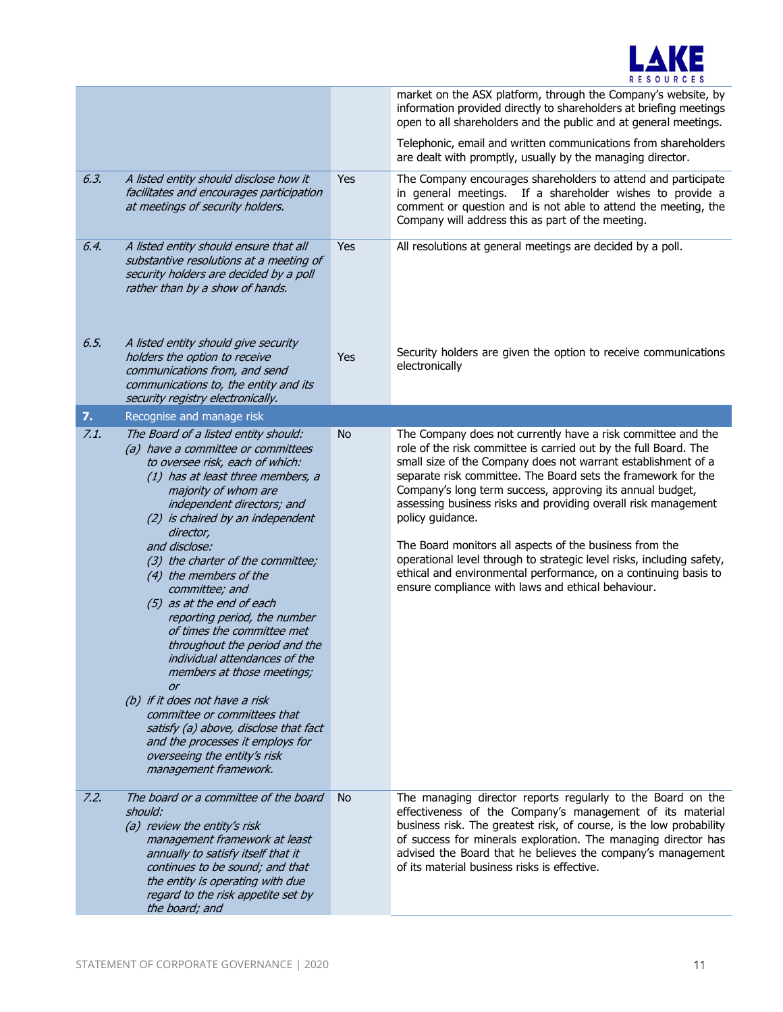

|      |                                                                                                                                                                                                                                                                                                                                                                                                                                                                                                                                                                                                                                                                                                                                                                      |           | market on the ASX platform, through the Company's website, by<br>information provided directly to shareholders at briefing meetings<br>open to all shareholders and the public and at general meetings.<br>Telephonic, email and written communications from shareholders<br>are dealt with promptly, usually by the managing director.                                                                                                                                                                                                                                                                                                                                            |
|------|----------------------------------------------------------------------------------------------------------------------------------------------------------------------------------------------------------------------------------------------------------------------------------------------------------------------------------------------------------------------------------------------------------------------------------------------------------------------------------------------------------------------------------------------------------------------------------------------------------------------------------------------------------------------------------------------------------------------------------------------------------------------|-----------|------------------------------------------------------------------------------------------------------------------------------------------------------------------------------------------------------------------------------------------------------------------------------------------------------------------------------------------------------------------------------------------------------------------------------------------------------------------------------------------------------------------------------------------------------------------------------------------------------------------------------------------------------------------------------------|
| 6.3. | A listed entity should disclose how it<br>facilitates and encourages participation<br>at meetings of security holders.                                                                                                                                                                                                                                                                                                                                                                                                                                                                                                                                                                                                                                               | Yes       | The Company encourages shareholders to attend and participate<br>in general meetings. If a shareholder wishes to provide a<br>comment or question and is not able to attend the meeting, the<br>Company will address this as part of the meeting.                                                                                                                                                                                                                                                                                                                                                                                                                                  |
| 6.4. | A listed entity should ensure that all<br>substantive resolutions at a meeting of<br>security holders are decided by a poll<br>rather than by a show of hands.                                                                                                                                                                                                                                                                                                                                                                                                                                                                                                                                                                                                       | Yes       | All resolutions at general meetings are decided by a poll.                                                                                                                                                                                                                                                                                                                                                                                                                                                                                                                                                                                                                         |
| 6.5. | A listed entity should give security<br>holders the option to receive<br>communications from, and send<br>communications to, the entity and its<br>security registry electronically.                                                                                                                                                                                                                                                                                                                                                                                                                                                                                                                                                                                 | Yes       | Security holders are given the option to receive communications<br>electronically                                                                                                                                                                                                                                                                                                                                                                                                                                                                                                                                                                                                  |
| 7.   | Recognise and manage risk                                                                                                                                                                                                                                                                                                                                                                                                                                                                                                                                                                                                                                                                                                                                            |           |                                                                                                                                                                                                                                                                                                                                                                                                                                                                                                                                                                                                                                                                                    |
| 7.1. | The Board of a listed entity should:<br>(a) have a committee or committees<br>to oversee risk, each of which:<br>(1) has at least three members, a<br>majority of whom are<br>independent directors; and<br>(2) is chaired by an independent<br>director,<br>and disclose:<br>(3) the charter of the committee;<br>(4) the members of the<br>committee; and<br>(5) as at the end of each<br>reporting period, the number<br>of times the committee met<br>throughout the period and the<br>individual attendances of the<br>members at those meetings;<br>or<br>(b) if it does not have a risk<br>committee or committees that<br>satisfy (a) above, disclose that fact<br>and the processes it employs for<br>overseeing the entity's risk<br>management framework. | No        | The Company does not currently have a risk committee and the<br>role of the risk committee is carried out by the full Board. The<br>small size of the Company does not warrant establishment of a<br>separate risk committee. The Board sets the framework for the<br>Company's long term success, approving its annual budget,<br>assessing business risks and providing overall risk management<br>policy guidance.<br>The Board monitors all aspects of the business from the<br>operational level through to strategic level risks, including safety,<br>ethical and environmental performance, on a continuing basis to<br>ensure compliance with laws and ethical behaviour. |
| 7.2. | The board or a committee of the board<br>should:<br>(a) review the entity's risk<br>management framework at least<br>annually to satisfy itself that it<br>continues to be sound; and that<br>the entity is operating with due<br>regard to the risk appetite set by<br>the board; and                                                                                                                                                                                                                                                                                                                                                                                                                                                                               | <b>No</b> | The managing director reports regularly to the Board on the<br>effectiveness of the Company's management of its material<br>business risk. The greatest risk, of course, is the low probability<br>of success for minerals exploration. The managing director has<br>advised the Board that he believes the company's management<br>of its material business risks is effective.                                                                                                                                                                                                                                                                                                   |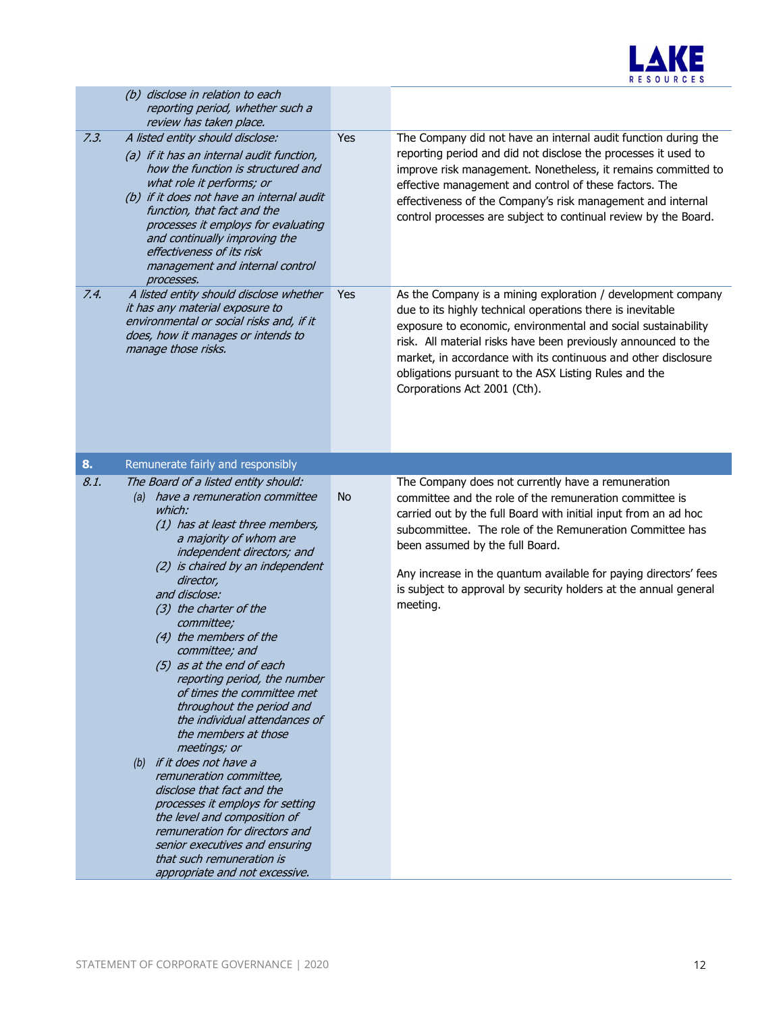

|      | (b) disclose in relation to each<br>reporting period, whether such a<br>review has taken place.                                                                                                                                                                                                                                                                                                                                                                                                                                                                                                                                                                                                                                                                                                                                    |           |                                                                                                                                                                                                                                                                                                                                                                                                                                     |
|------|------------------------------------------------------------------------------------------------------------------------------------------------------------------------------------------------------------------------------------------------------------------------------------------------------------------------------------------------------------------------------------------------------------------------------------------------------------------------------------------------------------------------------------------------------------------------------------------------------------------------------------------------------------------------------------------------------------------------------------------------------------------------------------------------------------------------------------|-----------|-------------------------------------------------------------------------------------------------------------------------------------------------------------------------------------------------------------------------------------------------------------------------------------------------------------------------------------------------------------------------------------------------------------------------------------|
| 7.3. | A listed entity should disclose:<br>(a) if it has an internal audit function,<br>how the function is structured and<br>what role it performs; or<br>(b) if it does not have an internal audit<br>function, that fact and the<br>processes it employs for evaluating<br>and continually improving the<br>effectiveness of its risk<br>management and internal control<br>processes.                                                                                                                                                                                                                                                                                                                                                                                                                                                 | Yes       | The Company did not have an internal audit function during the<br>reporting period and did not disclose the processes it used to<br>improve risk management. Nonetheless, it remains committed to<br>effective management and control of these factors. The<br>effectiveness of the Company's risk management and internal<br>control processes are subject to continual review by the Board.                                       |
| 7.4. | A listed entity should disclose whether<br>it has any material exposure to<br>environmental or social risks and, if it<br>does, how it manages or intends to<br>manage those risks.                                                                                                                                                                                                                                                                                                                                                                                                                                                                                                                                                                                                                                                | Yes       | As the Company is a mining exploration / development company<br>due to its highly technical operations there is inevitable<br>exposure to economic, environmental and social sustainability<br>risk. All material risks have been previously announced to the<br>market, in accordance with its continuous and other disclosure<br>obligations pursuant to the ASX Listing Rules and the<br>Corporations Act 2001 (Cth).            |
| 8.   | Remunerate fairly and responsibly                                                                                                                                                                                                                                                                                                                                                                                                                                                                                                                                                                                                                                                                                                                                                                                                  |           |                                                                                                                                                                                                                                                                                                                                                                                                                                     |
| 8.1. | The Board of a listed entity should:<br>(a) have a remuneration committee<br>which:<br>(1) has at least three members,<br>a majority of whom are<br>independent directors; and<br>(2) is chaired by an independent<br>director,<br>and disclose:<br>(3) the charter of the<br>committee;<br>(4) the members of the<br>committee; and<br>(5) as at the end of each<br>reporting period, the number<br>of times the committee met<br>throughout the period and<br>the individual attendances of<br>the members at those<br>meetings; or<br>(b) if it does not have a<br>remuneration committee,<br>disclose that fact and the<br>processes it employs for setting<br>the level and composition of<br>remuneration for directors and<br>senior executives and ensuring<br>that such remuneration is<br>appropriate and not excessive. | <b>No</b> | The Company does not currently have a remuneration<br>committee and the role of the remuneration committee is<br>carried out by the full Board with initial input from an ad hoc<br>subcommittee. The role of the Remuneration Committee has<br>been assumed by the full Board.<br>Any increase in the quantum available for paying directors' fees<br>is subject to approval by security holders at the annual general<br>meeting. |